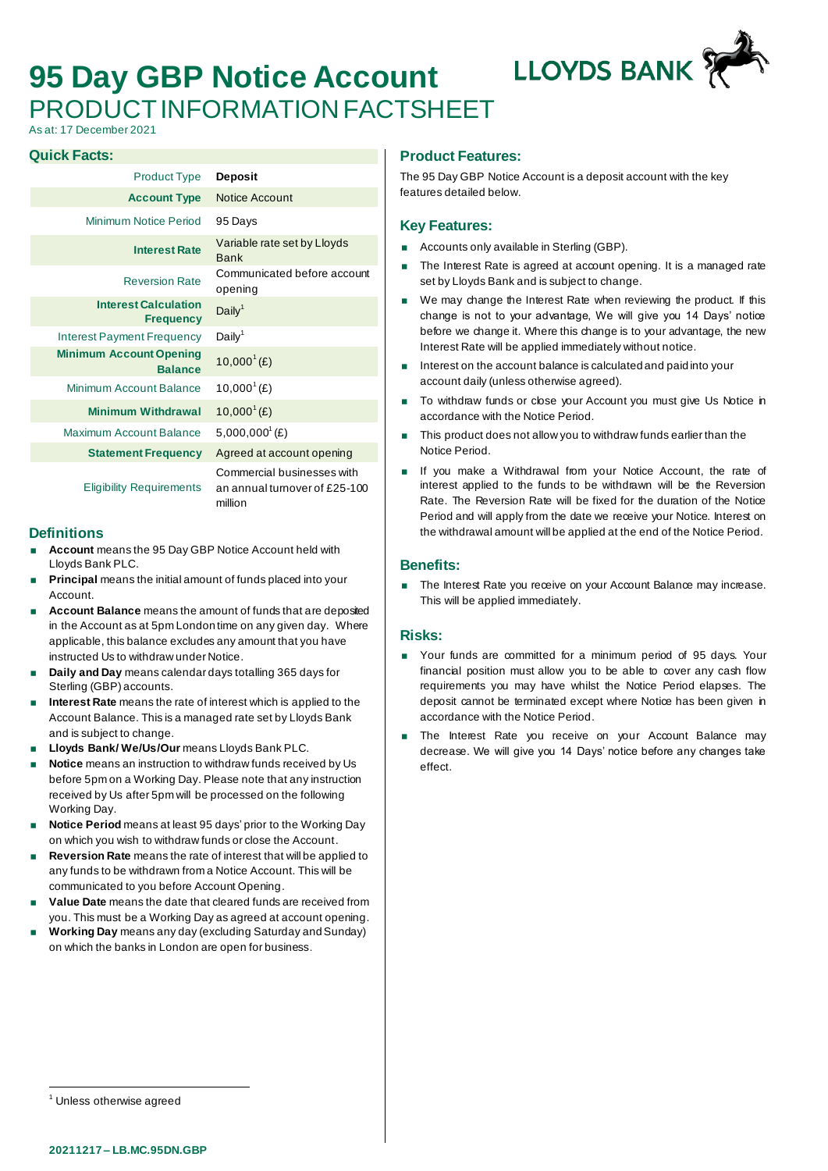# **95 Day GBP Notice Account** PRODUCT INFORMATION FACTSHEET

**LLOYDS BANK** 

As at: 17 December 2021

#### **Quick Facts:**

| <b>Product Type</b>                              | <b>Deposit</b>                                              |
|--------------------------------------------------|-------------------------------------------------------------|
| <b>Account Type</b>                              | Notice Account                                              |
| Minimum Notice Period                            | 95 Days                                                     |
| <b>Interest Rate</b>                             | Variable rate set by Lloyds<br><b>Bank</b>                  |
| <b>Reversion Rate</b>                            | Communicated before account<br>opening                      |
| <b>Interest Calculation</b><br><b>Frequency</b>  | Daily <sup>1</sup>                                          |
| Interest Payment Frequency                       | Daily <sup>1</sup>                                          |
| <b>Minimum Account Opening</b><br><b>Balance</b> | $10,000^{1}(E)$                                             |
| Minimum Account Balance                          | $10,000^{\circ}$ (£)                                        |
| <b>Minimum Withdrawal</b>                        | $10,000^{\circ}$ (£)                                        |
| Maximum Account Balance                          | $5,000,000^{\circ}$ (£)                                     |
| <b>Statement Frequency</b>                       | Agreed at account opening                                   |
| <b>Eligibility Requirements</b>                  | Commercial businesses with<br>an annual turnover of £25-100 |

#### **Definitions**

- **Account** means the 95 Day GBP Notice Account held with Lloyds Bank PLC.
- **Principal** means the initial amount of funds placed into your Account.
- **Account Balance** means the amount of funds that are deposited in the Account as at 5pm London time on any given day. Where applicable, this balance excludes any amount that you have instructed Us to withdraw under Notice.

million

- **Daily and Day** means calendar days totalling 365 days for Sterling (GBP) accounts.
- **Interest Rate** means the rate of interest which is applied to the Account Balance. This is a managed rate set by Lloyds Bank and is subject to change.
- **Lloyds Bank/ We/Us/Our** means Lloyds Bank PLC.
- **Notice** means an instruction to withdraw funds received by Us before 5pm on a Working Day. Please note that any instruction received by Us after 5pm will be processed on the following Working Day.
- **Notice Period** means at least 95 days' prior to the Working Day on which you wish to withdraw funds or close the Account.
- **Reversion Rate** means the rate of interest that will be applied to any funds to be withdrawn from a Notice Account. This will be communicated to you before Account Opening.
- **Value Date** means the date that cleared funds are received from you. This must be a Working Day as agreed at account opening.
- **Working Day** means any day (excluding Saturday and Sunday) on which the banks in London are open for business.

## **Product Features:**

The 95 Day GBP Notice Account is a deposit account with the key features detailed below.

## **Key Features:**

- **Accounts only available in Sterling (GBP).**
- The Interest Rate is agreed at account opening. It is a managed rate set by Lloyds Bank and is subject to change.
- We may change the Interest Rate when reviewing the product. If this change is not to your advantage, We will give you 14 Days' notice before we change it. Where this change is to your advantage, the new Interest Rate will be applied immediately without notice.
- Interest on the account balance is calculated and paid into your account daily (unless otherwise agreed).
- To withdraw funds or close your Account you must give Us Notice in accordance with the Notice Period.
- This product does not allow you to withdraw funds earlier than the Notice Period.
- If you make a Withdrawal from your Notice Account, the rate of interest applied to the funds to be withdrawn will be the Reversion Rate. The Reversion Rate will be fixed for the duration of the Notice Period and will apply from the date we receive your Notice. Interest on the withdrawal amount will be applied at the end of the Notice Period.

#### **Benefits:**

The Interest Rate you receive on your Account Balance may increase. This will be applied immediately.

## **Risks:**

- Your funds are committed for a minimum period of 95 days. Your financial position must allow you to be able to cover any cash flow requirements you may have whilst the Notice Period elapses. The deposit cannot be terminated except where Notice has been given in accordance with the Notice Period.
- The Interest Rate you receive on your Account Balance may decrease. We will give you 14 Days' notice before any changes take effect.

<sup>&</sup>lt;sup>1</sup> Unless otherwise agreed